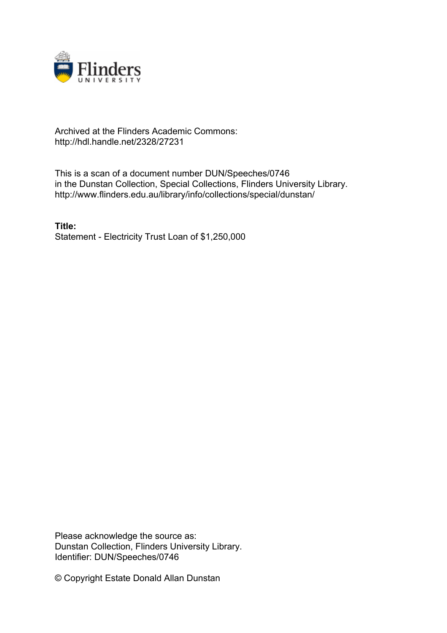

# Archived at the Flinders Academic Commons: http://hdl.handle.net/2328/27231

This is a scan of a document number DUN/Speeches/0746 in the Dunstan Collection, Special Collections, Flinders University Library. http://www.flinders.edu.au/library/info/collections/special/dunstan/

**Title:** Statement - Electricity Trust Loan of \$1,250,000

Please acknowledge the source as: Dunstan Collection, Flinders University Library. Identifier: DUN/Speeches/0746

© Copyright Estate Donald Allan Dunstan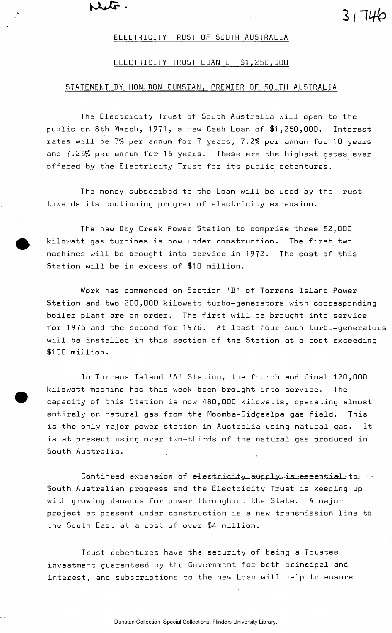$\lambda$ uto

## ELECTRICITY TRUST OF SOUTH AUSTRALIA

<sup>3</sup> *nub* 

## ELECTRICITY TRUST LOAN OF \$1,250,000

### STATEMENT BY HON. DON DUNSTAN, PREMIER OF SOUTH AUSTRALIA

The Electricity Trust of 5outh Australia will open to the public on 8th March, 1971, a new Cash Loan of \$1,250,000. Interest rates will be *1%* per annum for 7 years, *1.2%* per annum for 10 years and *1.25%* per annum for 15 years. These are the highest rates ever offered by the Electricity Trust for its public debentures.

The money subscribed to the Loan will be used by the Trust towards its continuing program of electricity expansion.

The new Dry Creek Power Station to comprise three 52,000 kilowatt gas turbines is now under construction. The first two machines will be brought into service in 1972. The cost of this Station will be in excess of \$10 million.

Work has commenced on Section 'B<sup>1</sup> of Torrens Island Power Station and two 200,000 kilowatt turbo-generators with corresponding boiler plant are on order. The first will be brought into service for 1975 and the second for 1976. At least four such turbo-generators will be installed in this section of the Station at a cost exceeding \$100 million.

In Torrens Island 'A' Station, the fourth and final 120,000 kilowatt machine has this week been brought into service. The capacity of this Station is now 480,000 kilowatts, operating almost entirely on natural gas from the Moomba-Gidgealpa gas field. This is the only major power station in Australia using natural gas. It is at present using over two-thirds of the natural gas produced in South Australia. (

 $Content \,$  expansion of electricity supply is essential to  $\cdot$ South Australian progress and the Electricity Trust is keeping up with growing demands for power throughout the State. A major project at present under construction is a new transmission line to the South East at a cost of over \$4 million.

Trust debentures have the security of being a Trustee investment guaranteed by the Government for both principal and interest, and subscriptions to the new Loan will help to ensure